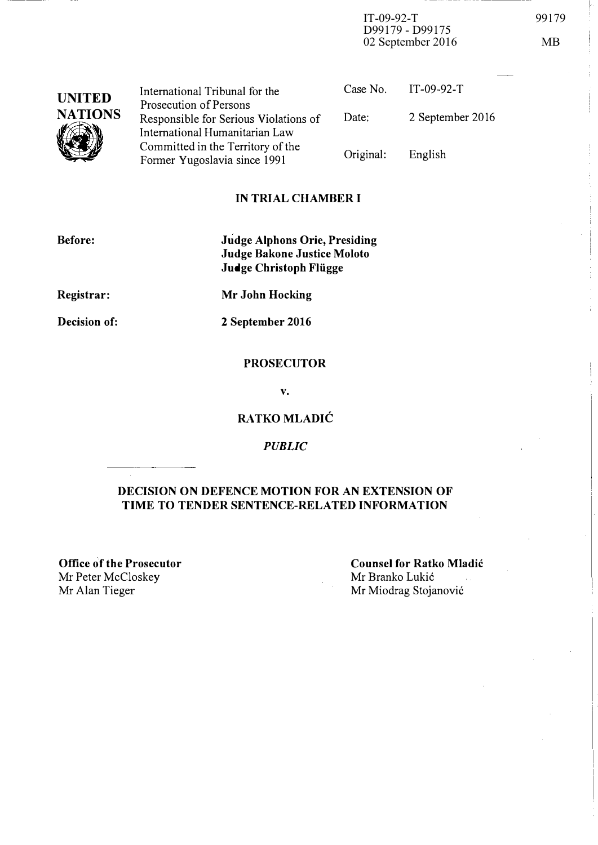IT-09-92-T 99179 D99179 - D99175 02 September 2016 MB

- ---- ----- -- -- -----------,

| <b>UNITED</b>  | International Tribunal for the                                                                    | Case No. IT-09-92-T |                  |
|----------------|---------------------------------------------------------------------------------------------------|---------------------|------------------|
| <b>NATIONS</b> | Prosecution of Persons<br>Responsible for Serious Violations of<br>International Humanitarian Law | Date:               | 2 September 2016 |
|                | Committed in the Territory of the<br>Former Yugoslavia since 1991                                 | Original:           | English          |

### IN TRIAL CHAMBER I

| <b>Before:</b> | <b>Judge Alphons Orie, Presiding</b>                  |  |
|----------------|-------------------------------------------------------|--|
|                | Judge Bakone Justice Moloto<br>Judge Christoph Flügge |  |
| Registrar:     | Mr John Hocking                                       |  |

Decision of:

2 September 2016

### **PROSECUTOR**

v.

## RATKO MLADIC

PUBLIC

### DECISION ON DEFENCE MOTION FOR AN EXTENSION OF TIME TO TENDER SENTENCE-RELATED INFORMATION

Office of the Prosecutor Mr Peter McCloskey<br>Mr Alan Tieger

Counsel for Ratko Mladic Mr Branko Lukic  $\mathcal{L}_{\mathrm{tot}}$ Mr Miodrag Stojanović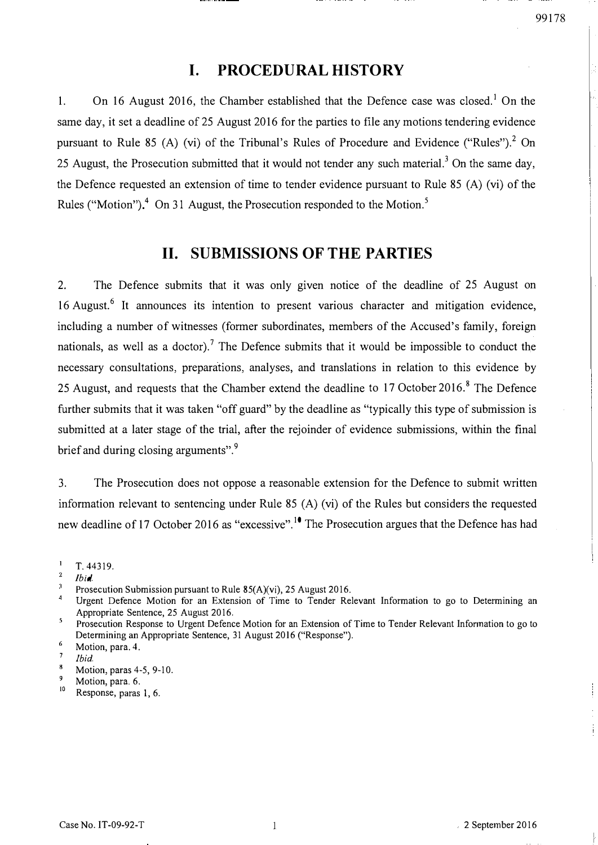## I. PROCEDURAL HISTORY

1. On 16 August 2016, the Chamber established that the Defence case was closed.<sup>1</sup> On the same day, it set a deadline of 25 August 2016 for the parties to file any motions tendering evidence pursuant to Rule 85 (A) (vi) of the Tribunal's Rules of Procedure and Evidence ("Rules").<sup>2</sup> On 25 August, the Prosecution submitted that it would not tender any such material.<sup>3</sup> On the same day, the Defence requested an extension of time to tender evidence pursuant to Rule 85 (A) (vi) of the Rules ("Motion").<sup>4</sup> On 31 August, the Prosecution responded to the Motion.<sup>5</sup>

## 11. SUBMISSIONS OF THE PARTIES

2. The Defence submits that it was only given notice of the deadline of 25 August on 16 August.<sup>6</sup> It announces its intention to present various character and mitigation evidence, including a number of witnesses (former subordinates, members of the Accused's family, foreign nationals, as well as a doctor).<sup>7</sup> The Defence submits that it would be impossible to conduct the necessary consultations, preparations, analyses, and translations in relation to this evidence by 25 August, and requests that the Chamber extend the deadline to 17 October 2016.<sup>8</sup> The Defence further submits that it was taken "off guard" by the deadline as "typically this type of submission is submitted at a later stage of the trial, after the rejoinder of evidence submissions, within the final brief and during closing arguments".<sup>9</sup>

3. The Prosecution does not oppose a reasonable extension for the Defence to submit written information relevant to sentencing under Rule 85 (A) (vi) of the Rules but considers the requested new deadline of 17 October 2016 as "excessive".<sup>10</sup> The Prosecution argues that the Defence has had

Motion, para. 6.

 $\mathbf{I}$ T. 44319.

 $\overline{2}$ Ibid.

 $\overline{3}$ Prosecution Submission pursuant to Rule 85(A)(vi), 25 August 2016.

 $\overline{4}$ Urgent Defence Motion for an Extension of Time to Tender Relevant Information to go to Determining an Appropriate Sentence, 25 August 2016.  $\overline{\mathbf{S}}$ 

Prosecution Response to Urgent Defence Motion for an Extension of Time to Tender Relevant Infonnation to go to Determining an Appropriate Sentence, 31 August 2016 ("Response"). 6

Motion, para. 4.  $\overline{7}$ 

lbid.

 ${\bf 8}$ Motion, paras 4-5, 9-10. 9

 $^{10}$  Response, paras 1, 6.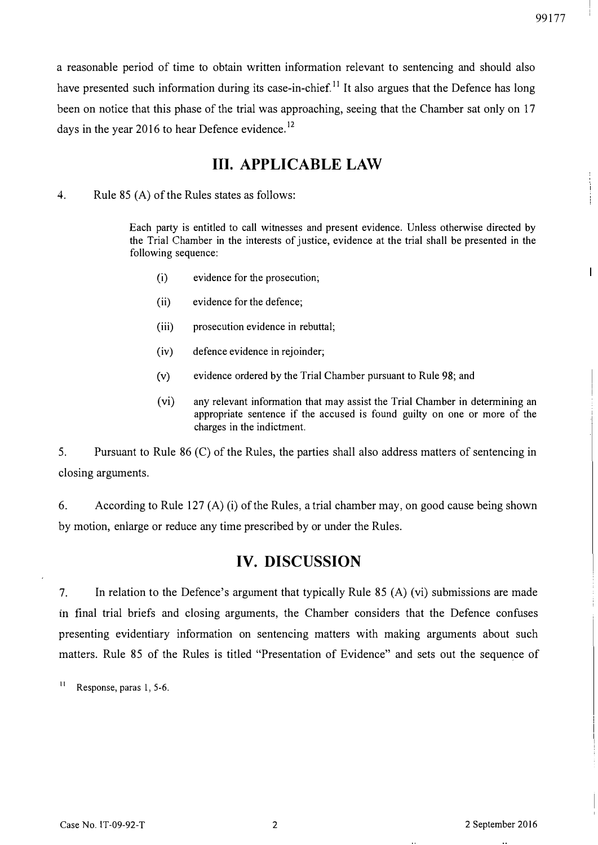a reasonable period of time to obtain written information relevant to sentencing and should also have presented such information during its case-in-chief.<sup>11</sup> It also argues that the Defence has long been on notice that this phase of the trial was approaching, seeing that the Chamber sat only on 17 days in the year 2016 to hear Defence evidence.<sup>12</sup>

## Ill. APPLICABLE LAW

4. Rule 85 (A) of the Rules states as follows:

Each party is entitled to call witnesses and present evidence. Unless otherwise directed by the Trial Chamber in the interests of justice, evidence at the trial shall be presented in the following sequence:

- (i) evidence for the prosecution;
- (ii) evidence for the defence;
- (iii) prosecution evidence in rebuttal;
- (iv) defence evidence in rejoinder;
- (v) evidence ordered by the Trial Chamber pursuant to Rule 98; and
- (vi) any relevant information that may assist the Trial Chamber in determining an appropriate sentence if the accused is found guilty on one or more of the charges in the indictment.

5. Pursuant to Rule 86 (C) of the Rules, the parties shall also address matters of sentencing in closing arguments.

6. According to Rule 127 (A) (i) of the Rules, a trial chamber may, on good cause being shown by motion, enlarge or reduce any time prescribed by or under the Rules.

## IV. DISCUSSION

7. In relation to the Defence's argument that typically Rule 85 (A) (vi) submissions are made in final trial briefs and closing arguments, the Chamber considers that the Defence confuses presenting evidentiary information on sentencing matters with making arguments about such matters. Rule 85 of the Rules is titled "Presentation of Evidence" and sets out the sequence of

 $11$  Response, paras 1, 5-6.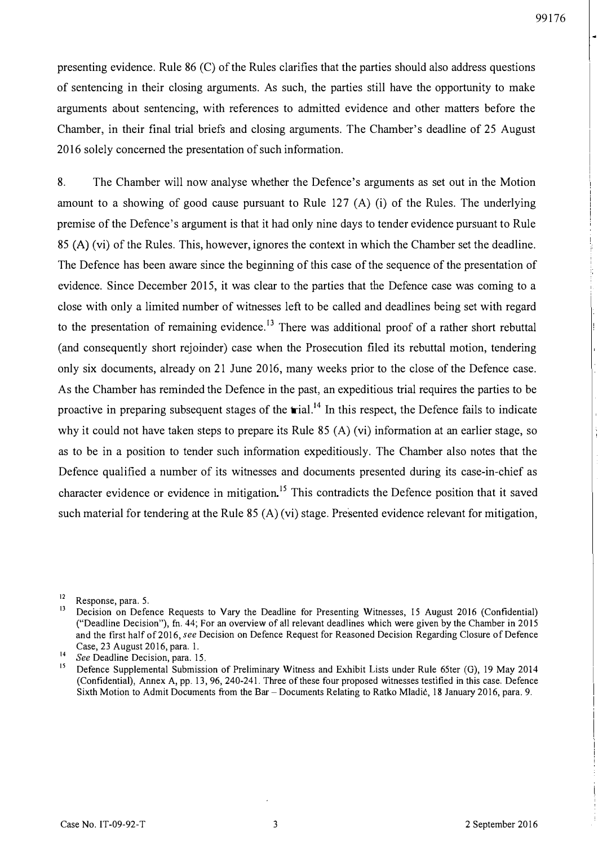presenting evidence. Rule 86 (C) of the Rules clarifies that the parties should also address questions of sentencing in their closing arguments. As such, the parties still have the opportunity to make arguments about sentencing, with references to admitted evidence and other matters before the Chamber, in their final trial briefs and closing arguments. The Chamber's deadline of 25 August 2016 solely concerned the presentation of such information.

8. The Chamber will now analyse whether the Defence's arguments as set out in the Motion amount to a showing of good cause pursuant to Rule 127 (A) (i) of the Rules. The underlying premise of the Defence's argument is that it had only nine days to tender evidence pursuant to Rule <sup>85</sup>(A) (vi) of the Rules. This, however, ignores the context in which the Chamber set the deadline. The Defence has been aware since the beginning of this case of the sequence of the presentation of evidence. Since December 2015, it was clear to the parties that the Defence case was coming to a close with only a limited number of witnesses left to be called and deadlines being set with regard to the presentation of remaining evidence.<sup>13</sup> There was additional proof of a rather short rebuttal (and consequently short rejoinder) case when the Prosecution filed its rebuttal motion, tendering only six documents, already on 21 June 2016, many weeks prior to the close of the Defence case. As the Chamber has reminded the Defence in the past, an expeditious trial requires the parties to be proactive in preparing subsequent stages of the  $\text{trial}$ .<sup>14</sup> In this respect, the Defence fails to indicate why it could not have taken steps to prepare its Rule 85 (A) (vi) information at an earlier stage, so as to be in a position to tender such information expeditiously. The Chamber also notes that the Defence qualified a number of its witnesses and documents presented during its case-in-chief as character evidence or evidence in mitigation.<sup>15</sup> This contradicts the Defence position that it saved such material for tendering at the Rule 85 (A) (vi) stage. Presented evidence relevant for mitigation,

 $\frac{14}{\text{See} \text{ Deadline Decision, para. 15}}$ 

 $\frac{12}{13}$  Response, para. 5,

Decision on Defence Requests to Vary the Deadline for Presenting Witnesses, 15 August 2016 (Confidential) ("Deadline Decision"), fh. 44; For an overview of all relevant deadlines which were given by the Chamber in 2015 and the first half of 2016, see Decision on Defence Request for Reasoned Decision Regarding Closure of Defence Case, 23 August 2016, para. 1.

<sup>15</sup>Defence Supplemental Submission of Preliminary Witness and Exhibit Lists under Rule 65ter (G), 19 May 2014 (Confidential), Annex A, pp. 13,96,240-241. Three of these four proposed witnesses testified in this case. Defence Sixth Motion to Admit Documents from the Bar - Documents Relating to Ratko Mladić, 18 January 2016, para. 9.